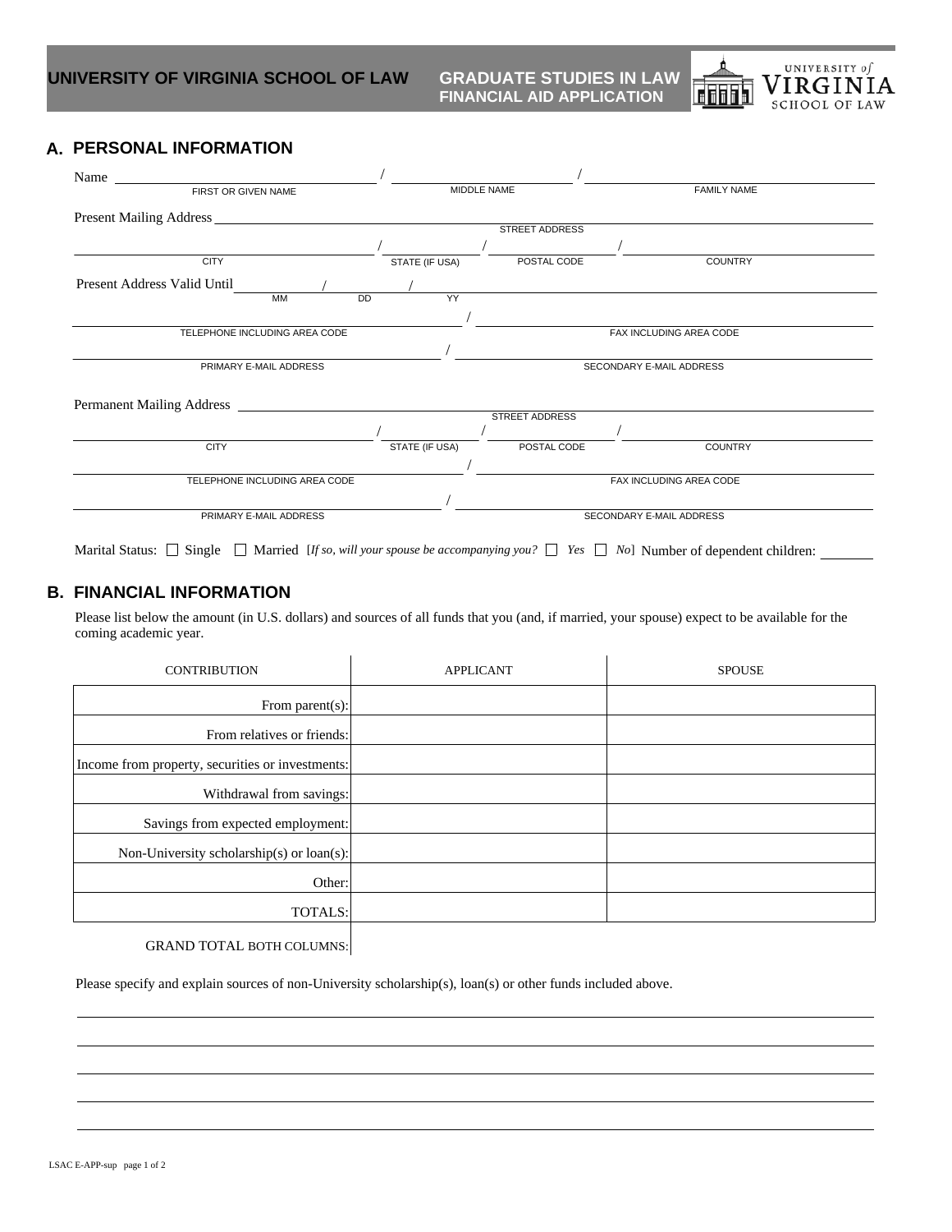**GRADUATE STUDIES IN LAW<br>FINANCIAL AID APPLICATION** 



## **A. PERSONAL INFORMATION**

| Name                          |           |  |           |                          |                          |                       |                    |                |  |
|-------------------------------|-----------|--|-----------|--------------------------|--------------------------|-----------------------|--------------------|----------------|--|
| FIRST OR GIVEN NAME           |           |  |           |                          | MIDDLE NAME              |                       | <b>FAMILY NAME</b> |                |  |
|                               |           |  |           |                          |                          |                       |                    |                |  |
| <b>STREET ADDRESS</b>         |           |  |           |                          |                          |                       |                    |                |  |
|                               |           |  |           |                          |                          |                       |                    |                |  |
| <b>CITY</b>                   |           |  |           | STATE (IF USA)           |                          | POSTAL CODE           |                    | <b>COUNTRY</b> |  |
| Present Address Valid Until   |           |  |           |                          |                          |                       |                    |                |  |
|                               | <b>MM</b> |  | <b>DD</b> |                          | YY                       |                       |                    |                |  |
|                               |           |  |           |                          |                          |                       |                    |                |  |
| TELEPHONE INCLUDING AREA CODE |           |  |           |                          | FAX INCLUDING AREA CODE  |                       |                    |                |  |
|                               |           |  |           |                          |                          |                       |                    |                |  |
| PRIMARY E-MAIL ADDRESS        |           |  |           | SECONDARY E-MAIL ADDRESS |                          |                       |                    |                |  |
|                               |           |  |           |                          |                          |                       |                    |                |  |
|                               |           |  |           |                          |                          |                       |                    |                |  |
|                               |           |  |           |                          |                          | <b>STREET ADDRESS</b> |                    |                |  |
|                               |           |  |           |                          |                          |                       |                    |                |  |
| <b>CITY</b>                   |           |  |           | STATE (IF USA)           |                          | POSTAL CODE           |                    | <b>COUNTRY</b> |  |
|                               |           |  |           |                          |                          |                       |                    |                |  |
| TELEPHONE INCLUDING AREA CODE |           |  |           | FAX INCLUDING AREA CODE  |                          |                       |                    |                |  |
|                               |           |  |           |                          |                          |                       |                    |                |  |
| PRIMARY E-MAIL ADDRESS        |           |  |           |                          | SECONDARY E-MAIL ADDRESS |                       |                    |                |  |
|                               |           |  |           |                          |                          |                       |                    |                |  |

Marital Status:  $\Box$  Single  $\Box$  Married [*If so, will your spouse be accompanying you?*  $\Box$  *Yes*  $\Box$  *No*] Number of dependent children:

## **B. FINANCIAL INFORMATION**

Please list below the amount (in U.S. dollars) and sources of all funds that you (and, if married, your spouse) expect to be available for the coming academic year.

| <b>CONTRIBUTION</b>                              | <b>APPLICANT</b> | <b>SPOUSE</b> |
|--------------------------------------------------|------------------|---------------|
| From parent(s):                                  |                  |               |
| From relatives or friends:                       |                  |               |
| Income from property, securities or investments: |                  |               |
| Withdrawal from savings:                         |                  |               |
| Savings from expected employment:                |                  |               |
| Non-University scholarship(s) or loan(s):        |                  |               |
| Other:                                           |                  |               |
| TOTALS:                                          |                  |               |
|                                                  |                  |               |

GRAND TOTAL BOTH COLUMNS:

Please specify and explain sources of non-University scholarship(s), loan(s) or other funds included above.